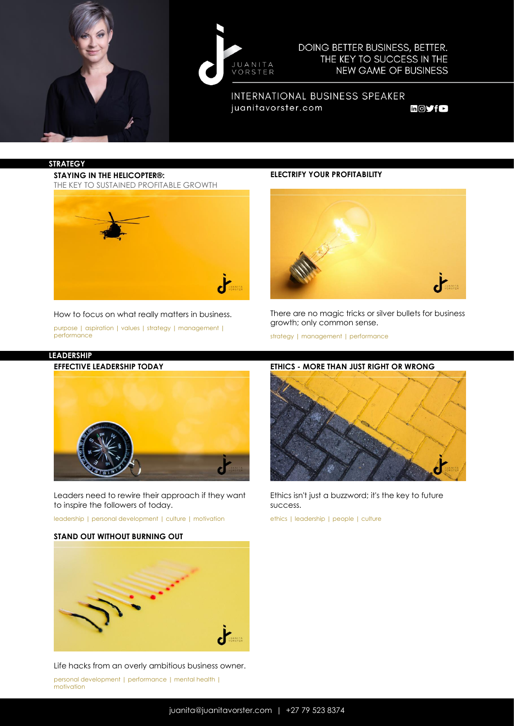



DOING BETTER BUSINESS, BETTER. THE KEY TO SUCCESS IN THE **NEW GAME OF BUSINESS** 

INTERNATIONAL BUSINESS SPEAKER juanitavorster.com

 $in \textcircled{S}$  for

#### **STRATEGY**

**STAYING IN THE HELICOPTER®:** THE KEY TO SUSTAINED PROFITABLE GROWTH



#### How to focus on what really matters in business.

purpose | aspiration | values | strategy | management | performance

## **ELECTRIFY YOUR PROFITABILITY**



There are no magic tricks or silver bullets for business growth; only common sense.

strategy | management | performance



Leaders need to rewire their approach if they want to inspire the followers of today.

leadership | personal development | culture | motivation

#### **STAND OUT WITHOUT BURNING OUT**



Life hacks from an overly ambitious business owner.

personal development | performance | mental health | motivation

## **ETHICS - MORE THAN JUST RIGHT OR WRONG**



Ethics isn't just a buzzword; it's the key to future success.

ethics | leadership | people | culture